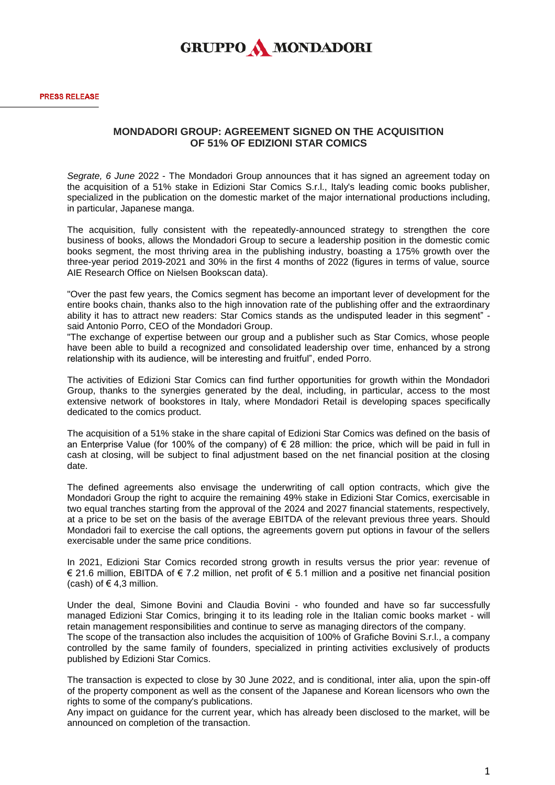## **GRUPPO A MONDADORI**

## **MONDADORI GROUP: AGREEMENT SIGNED ON THE ACQUISITION OF 51% OF EDIZIONI STAR COMICS**

*Segrate, 6 June* 2022 - The Mondadori Group announces that it has signed an agreement today on the acquisition of a 51% stake in Edizioni Star Comics S.r.l., Italy's leading comic books publisher, specialized in the publication on the domestic market of the major international productions including, in particular, Japanese manga.

The acquisition, fully consistent with the repeatedly-announced strategy to strengthen the core business of books, allows the Mondadori Group to secure a leadership position in the domestic comic books segment, the most thriving area in the publishing industry, boasting a 175% growth over the three-year period 2019-2021 and 30% in the first 4 months of 2022 (figures in terms of value, source AIE Research Office on Nielsen Bookscan data).

"Over the past few years, the Comics segment has become an important lever of development for the entire books chain, thanks also to the high innovation rate of the publishing offer and the extraordinary ability it has to attract new readers: Star Comics stands as the undisputed leader in this segment" said Antonio Porro, CEO of the Mondadori Group.

"The exchange of expertise between our group and a publisher such as Star Comics, whose people have been able to build a recognized and consolidated leadership over time, enhanced by a strong relationship with its audience, will be interesting and fruitful", ended Porro.

The activities of Edizioni Star Comics can find further opportunities for growth within the Mondadori Group, thanks to the synergies generated by the deal, including, in particular, access to the most extensive network of bookstores in Italy, where Mondadori Retail is developing spaces specifically dedicated to the comics product.

The acquisition of a 51% stake in the share capital of Edizioni Star Comics was defined on the basis of an Enterprise Value (for 100% of the company) of  $\epsilon$  28 million: the price, which will be paid in full in cash at closing, will be subject to final adjustment based on the net financial position at the closing date.

The defined agreements also envisage the underwriting of call option contracts, which give the Mondadori Group the right to acquire the remaining 49% stake in Edizioni Star Comics, exercisable in two equal tranches starting from the approval of the 2024 and 2027 financial statements, respectively, at a price to be set on the basis of the average EBITDA of the relevant previous three years. Should Mondadori fail to exercise the call options, the agreements govern put options in favour of the sellers exercisable under the same price conditions.

In 2021, Edizioni Star Comics recorded strong growth in results versus the prior year: revenue of € 21.6 million, EBITDA of € 7.2 million, net profit of € 5.1 million and a positive net financial position (cash) of  $\in$  4,3 million.

Under the deal, Simone Bovini and Claudia Bovini - who founded and have so far successfully managed Edizioni Star Comics, bringing it to its leading role in the Italian comic books market - will retain management responsibilities and continue to serve as managing directors of the company. The scope of the transaction also includes the acquisition of 100% of Grafiche Bovini S.r.l., a company

controlled by the same family of founders, specialized in printing activities exclusively of products published by Edizioni Star Comics.

The transaction is expected to close by 30 June 2022, and is conditional, inter alia, upon the spin-off of the property component as well as the consent of the Japanese and Korean licensors who own the rights to some of the company's publications.

Any impact on guidance for the current year, which has already been disclosed to the market, will be announced on completion of the transaction.